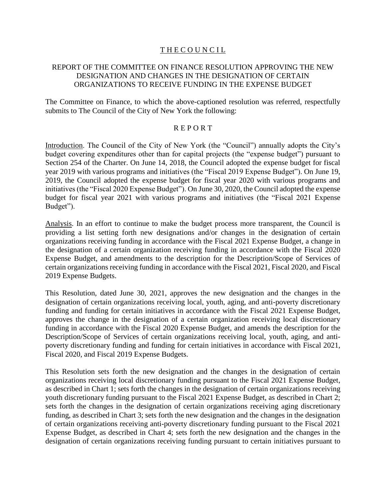# **THE COUNCIL**

# REPORT OF THE COMMITTEE ON FINANCE RESOLUTION APPROVING THE NEW DESIGNATION AND CHANGES IN THE DESIGNATION OF CERTAIN ORGANIZATIONS TO RECEIVE FUNDING IN THE EXPENSE BUDGET

The Committee on Finance, to which the above-captioned resolution was referred, respectfully submits to The Council of the City of New York the following:

## R E P O R T

Introduction. The Council of the City of New York (the "Council") annually adopts the City's budget covering expenditures other than for capital projects (the "expense budget") pursuant to Section 254 of the Charter. On June 14, 2018, the Council adopted the expense budget for fiscal year 2019 with various programs and initiatives (the "Fiscal 2019 Expense Budget"). On June 19, 2019, the Council adopted the expense budget for fiscal year 2020 with various programs and initiatives (the "Fiscal 2020 Expense Budget"). On June 30, 2020, the Council adopted the expense budget for fiscal year 2021 with various programs and initiatives (the "Fiscal 2021 Expense Budget").

Analysis. In an effort to continue to make the budget process more transparent, the Council is providing a list setting forth new designations and/or changes in the designation of certain organizations receiving funding in accordance with the Fiscal 2021 Expense Budget, a change in the designation of a certain organization receiving funding in accordance with the Fiscal 2020 Expense Budget, and amendments to the description for the Description/Scope of Services of certain organizations receiving funding in accordance with the Fiscal 2021, Fiscal 2020, and Fiscal 2019 Expense Budgets.

This Resolution, dated June 30, 2021, approves the new designation and the changes in the designation of certain organizations receiving local, youth, aging, and anti-poverty discretionary funding and funding for certain initiatives in accordance with the Fiscal 2021 Expense Budget, approves the change in the designation of a certain organization receiving local discretionary funding in accordance with the Fiscal 2020 Expense Budget, and amends the description for the Description/Scope of Services of certain organizations receiving local, youth, aging, and antipoverty discretionary funding and funding for certain initiatives in accordance with Fiscal 2021, Fiscal 2020, and Fiscal 2019 Expense Budgets.

This Resolution sets forth the new designation and the changes in the designation of certain organizations receiving local discretionary funding pursuant to the Fiscal 2021 Expense Budget, as described in Chart 1; sets forth the changes in the designation of certain organizations receiving youth discretionary funding pursuant to the Fiscal 2021 Expense Budget, as described in Chart 2; sets forth the changes in the designation of certain organizations receiving aging discretionary funding, as described in Chart 3; sets forth the new designation and the changes in the designation of certain organizations receiving anti-poverty discretionary funding pursuant to the Fiscal 2021 Expense Budget, as described in Chart 4; sets forth the new designation and the changes in the designation of certain organizations receiving funding pursuant to certain initiatives pursuant to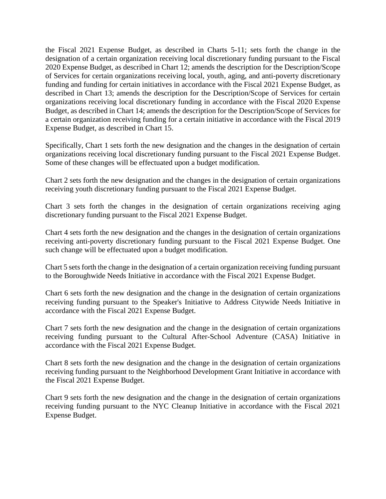the Fiscal 2021 Expense Budget, as described in Charts 5-11; sets forth the change in the designation of a certain organization receiving local discretionary funding pursuant to the Fiscal 2020 Expense Budget, as described in Chart 12; amends the description for the Description/Scope of Services for certain organizations receiving local, youth, aging, and anti-poverty discretionary funding and funding for certain initiatives in accordance with the Fiscal 2021 Expense Budget, as described in Chart 13; amends the description for the Description/Scope of Services for certain organizations receiving local discretionary funding in accordance with the Fiscal 2020 Expense Budget, as described in Chart 14; amends the description for the Description/Scope of Services for a certain organization receiving funding for a certain initiative in accordance with the Fiscal 2019 Expense Budget, as described in Chart 15.

Specifically, Chart 1 sets forth the new designation and the changes in the designation of certain organizations receiving local discretionary funding pursuant to the Fiscal 2021 Expense Budget. Some of these changes will be effectuated upon a budget modification.

Chart 2 sets forth the new designation and the changes in the designation of certain organizations receiving youth discretionary funding pursuant to the Fiscal 2021 Expense Budget.

Chart 3 sets forth the changes in the designation of certain organizations receiving aging discretionary funding pursuant to the Fiscal 2021 Expense Budget.

Chart 4 sets forth the new designation and the changes in the designation of certain organizations receiving anti-poverty discretionary funding pursuant to the Fiscal 2021 Expense Budget. One such change will be effectuated upon a budget modification.

Chart 5 sets forth the change in the designation of a certain organization receiving funding pursuant to the Boroughwide Needs Initiative in accordance with the Fiscal 2021 Expense Budget.

Chart 6 sets forth the new designation and the change in the designation of certain organizations receiving funding pursuant to the Speaker's Initiative to Address Citywide Needs Initiative in accordance with the Fiscal 2021 Expense Budget.

Chart 7 sets forth the new designation and the change in the designation of certain organizations receiving funding pursuant to the Cultural After-School Adventure (CASA) Initiative in accordance with the Fiscal 2021 Expense Budget.

Chart 8 sets forth the new designation and the change in the designation of certain organizations receiving funding pursuant to the Neighborhood Development Grant Initiative in accordance with the Fiscal 2021 Expense Budget.

Chart 9 sets forth the new designation and the change in the designation of certain organizations receiving funding pursuant to the NYC Cleanup Initiative in accordance with the Fiscal 2021 Expense Budget.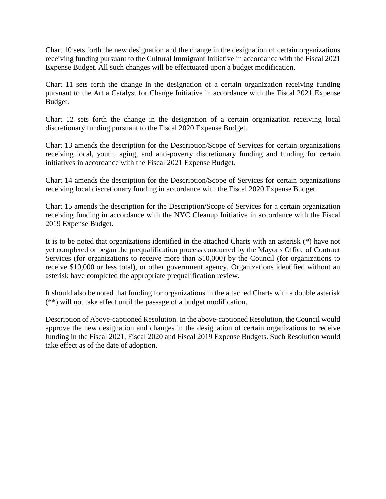Chart 10 sets forth the new designation and the change in the designation of certain organizations receiving funding pursuant to the Cultural Immigrant Initiative in accordance with the Fiscal 2021 Expense Budget. All such changes will be effectuated upon a budget modification.

Chart 11 sets forth the change in the designation of a certain organization receiving funding pursuant to the Art a Catalyst for Change Initiative in accordance with the Fiscal 2021 Expense Budget.

Chart 12 sets forth the change in the designation of a certain organization receiving local discretionary funding pursuant to the Fiscal 2020 Expense Budget.

Chart 13 amends the description for the Description/Scope of Services for certain organizations receiving local, youth, aging, and anti-poverty discretionary funding and funding for certain initiatives in accordance with the Fiscal 2021 Expense Budget.

Chart 14 amends the description for the Description/Scope of Services for certain organizations receiving local discretionary funding in accordance with the Fiscal 2020 Expense Budget.

Chart 15 amends the description for the Description/Scope of Services for a certain organization receiving funding in accordance with the NYC Cleanup Initiative in accordance with the Fiscal 2019 Expense Budget.

It is to be noted that organizations identified in the attached Charts with an asterisk (\*) have not yet completed or began the prequalification process conducted by the Mayor's Office of Contract Services (for organizations to receive more than \$10,000) by the Council (for organizations to receive \$10,000 or less total), or other government agency. Organizations identified without an asterisk have completed the appropriate prequalification review.

It should also be noted that funding for organizations in the attached Charts with a double asterisk (\*\*) will not take effect until the passage of a budget modification.

Description of Above-captioned Resolution. In the above-captioned Resolution, the Council would approve the new designation and changes in the designation of certain organizations to receive funding in the Fiscal 2021, Fiscal 2020 and Fiscal 2019 Expense Budgets. Such Resolution would take effect as of the date of adoption.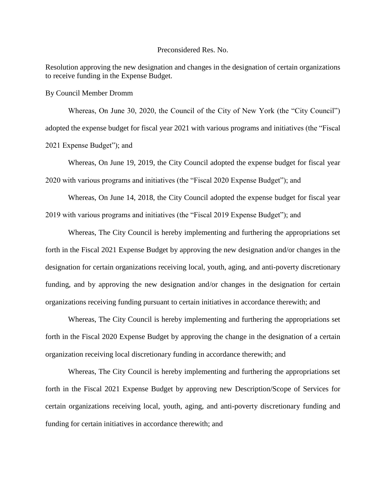#### Preconsidered Res. No.

Resolution approving the new designation and changes in the designation of certain organizations to receive funding in the Expense Budget.

By Council Member Dromm

Whereas, On June 30, 2020, the Council of the City of New York (the "City Council") adopted the expense budget for fiscal year 2021 with various programs and initiatives (the "Fiscal 2021 Expense Budget"); and

Whereas, On June 19, 2019, the City Council adopted the expense budget for fiscal year 2020 with various programs and initiatives (the "Fiscal 2020 Expense Budget"); and

Whereas, On June 14, 2018, the City Council adopted the expense budget for fiscal year 2019 with various programs and initiatives (the "Fiscal 2019 Expense Budget"); and

Whereas, The City Council is hereby implementing and furthering the appropriations set forth in the Fiscal 2021 Expense Budget by approving the new designation and/or changes in the designation for certain organizations receiving local, youth, aging, and anti-poverty discretionary funding, and by approving the new designation and/or changes in the designation for certain organizations receiving funding pursuant to certain initiatives in accordance therewith; and

Whereas, The City Council is hereby implementing and furthering the appropriations set forth in the Fiscal 2020 Expense Budget by approving the change in the designation of a certain organization receiving local discretionary funding in accordance therewith; and

Whereas, The City Council is hereby implementing and furthering the appropriations set forth in the Fiscal 2021 Expense Budget by approving new Description/Scope of Services for certain organizations receiving local, youth, aging, and anti-poverty discretionary funding and funding for certain initiatives in accordance therewith; and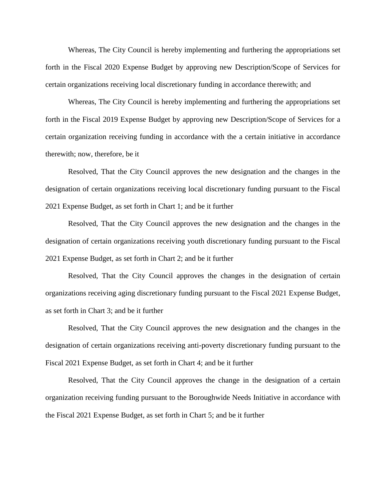Whereas, The City Council is hereby implementing and furthering the appropriations set forth in the Fiscal 2020 Expense Budget by approving new Description/Scope of Services for certain organizations receiving local discretionary funding in accordance therewith; and

Whereas, The City Council is hereby implementing and furthering the appropriations set forth in the Fiscal 2019 Expense Budget by approving new Description/Scope of Services for a certain organization receiving funding in accordance with the a certain initiative in accordance therewith; now, therefore, be it

Resolved, That the City Council approves the new designation and the changes in the designation of certain organizations receiving local discretionary funding pursuant to the Fiscal 2021 Expense Budget, as set forth in Chart 1; and be it further

Resolved, That the City Council approves the new designation and the changes in the designation of certain organizations receiving youth discretionary funding pursuant to the Fiscal 2021 Expense Budget, as set forth in Chart 2; and be it further

Resolved, That the City Council approves the changes in the designation of certain organizations receiving aging discretionary funding pursuant to the Fiscal 2021 Expense Budget, as set forth in Chart 3; and be it further

Resolved, That the City Council approves the new designation and the changes in the designation of certain organizations receiving anti-poverty discretionary funding pursuant to the Fiscal 2021 Expense Budget, as set forth in Chart 4; and be it further

Resolved, That the City Council approves the change in the designation of a certain organization receiving funding pursuant to the Boroughwide Needs Initiative in accordance with the Fiscal 2021 Expense Budget, as set forth in Chart 5; and be it further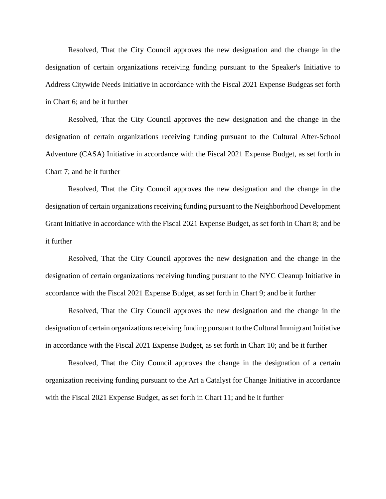Resolved, That the City Council approves the new designation and the change in the designation of certain organizations receiving funding pursuant to the Speaker's Initiative to Address Citywide Needs Initiative in accordance with the Fiscal 2021 Expense Budgeas set forth in Chart 6; and be it further

Resolved, That the City Council approves the new designation and the change in the designation of certain organizations receiving funding pursuant to the Cultural After-School Adventure (CASA) Initiative in accordance with the Fiscal 2021 Expense Budget, as set forth in Chart 7; and be it further

Resolved, That the City Council approves the new designation and the change in the designation of certain organizations receiving funding pursuant to the Neighborhood Development Grant Initiative in accordance with the Fiscal 2021 Expense Budget, as set forth in Chart 8; and be it further

Resolved, That the City Council approves the new designation and the change in the designation of certain organizations receiving funding pursuant to the NYC Cleanup Initiative in accordance with the Fiscal 2021 Expense Budget, as set forth in Chart 9; and be it further

Resolved, That the City Council approves the new designation and the change in the designation of certain organizations receiving funding pursuant to the Cultural Immigrant Initiative in accordance with the Fiscal 2021 Expense Budget, as set forth in Chart 10; and be it further

Resolved, That the City Council approves the change in the designation of a certain organization receiving funding pursuant to the Art a Catalyst for Change Initiative in accordance with the Fiscal 2021 Expense Budget, as set forth in Chart 11; and be it further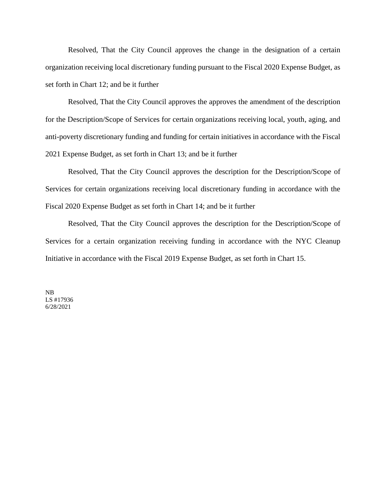Resolved, That the City Council approves the change in the designation of a certain organization receiving local discretionary funding pursuant to the Fiscal 2020 Expense Budget, as set forth in Chart 12; and be it further

Resolved, That the City Council approves the approves the amendment of the description for the Description/Scope of Services for certain organizations receiving local, youth, aging, and anti-poverty discretionary funding and funding for certain initiatives in accordance with the Fiscal 2021 Expense Budget, as set forth in Chart 13; and be it further

Resolved, That the City Council approves the description for the Description/Scope of Services for certain organizations receiving local discretionary funding in accordance with the Fiscal 2020 Expense Budget as set forth in Chart 14; and be it further

Resolved, That the City Council approves the description for the Description/Scope of Services for a certain organization receiving funding in accordance with the NYC Cleanup Initiative in accordance with the Fiscal 2019 Expense Budget, as set forth in Chart 15.

NB LS #17936 6/28/2021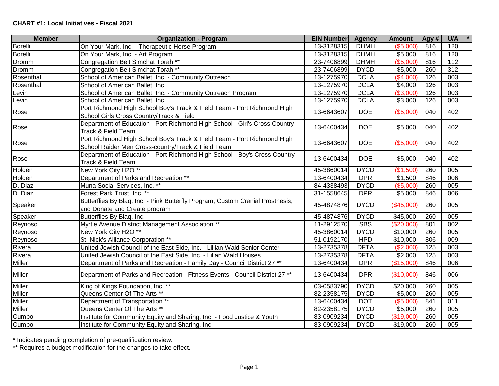| <b>Member</b>  | <b>Organization - Program</b>                                                  | <b>EIN Number</b> | <b>Agency</b> | <b>Amount</b> | Agy # | U/A |
|----------------|--------------------------------------------------------------------------------|-------------------|---------------|---------------|-------|-----|
| <b>Borelli</b> | On Your Mark, Inc. - Therapeutic Horse Program                                 | 13-3128315        | <b>DHMH</b>   | (\$5,000)     | 816   | 120 |
| Borelli        | On Your Mark, Inc. - Art Program                                               | 13-3128315        | <b>DHMH</b>   | \$5,000       | 816   | 120 |
| Dromm          | Congregation Beit Simchat Torah **                                             | 23-7406899        | <b>DHMH</b>   | (\$5,000)     | 816   | 112 |
| Dromm          | Congregation Beit Simchat Torah **                                             | 23-7406899        | <b>DYCD</b>   | \$5,000       | 260   | 312 |
| Rosenthal      | School of American Ballet, Inc. - Community Outreach                           | 13-1275970        | <b>DCLA</b>   | (\$4,000"     | 126   | 003 |
| Rosenthal      | School of American Ballet, Inc.                                                | 13-1275970        | <b>DCLA</b>   | \$4,000       | 126   | 003 |
| Levin          | School of American Ballet, Inc. - Community Outreach Program                   | 13-1275970        | <b>DCLA</b>   | (\$3,000)     | 126   | 003 |
| Levin          | School of American Ballet, Inc.                                                | 13-1275970        | <b>DCLA</b>   | \$3,000       | 126   | 003 |
| Rose           | Port Richmond High School Boy's Track & Field Team - Port Richmond High        | 13-6643607        | <b>DOE</b>    | (\$5,000)     | 040   | 402 |
|                | School Girls Cross Country/Track & Field                                       |                   |               |               |       |     |
| Rose           | Department of Education - Port Richmond High School - Girl's Cross Country     | 13-6400434        | <b>DOE</b>    | \$5,000       | 040   | 402 |
|                | Track & Field Team                                                             |                   |               |               |       |     |
| Rose           | Port Richmond High School Boy's Track & Field Team - Port Richmond High        | 13-6643607        | <b>DOE</b>    | (\$5,000)     | 040   | 402 |
|                | School Raider Men Cross-country/Track & Field Team                             |                   |               |               |       |     |
| Rose           | Department of Education - Port Richmond High School - Boy's Cross Country      | 13-6400434        | <b>DOE</b>    | \$5,000       | 040   | 402 |
|                | Track & Field Team                                                             |                   |               |               |       |     |
| Holden         | New York City H2O **                                                           | 45-3860014        | <b>DYCD</b>   | (\$1,500      | 260   | 005 |
| Holden         | Department of Parks and Recreation **                                          | 13-6400434        | <b>DPR</b>    | \$1,500       | 846   | 006 |
| D. Diaz        | Muna Social Services, Inc. **                                                  | 84-4338493        | <b>DYCD</b>   | (\$5,000)     | 260   | 005 |
| D. Diaz        | Forest Park Trust, Inc. **                                                     | 31-1558645        | <b>DPR</b>    | \$5,000       | 846   | 006 |
| Speaker        | Butterflies By Blaq, Inc. - Pink Butterfly Program, Custom Cranial Prosthesis, | 45-4874876        | <b>DYCD</b>   | (\$45,000)    | 260   | 005 |
|                | and Donate and Create program                                                  |                   |               |               |       |     |
| Speaker        | Butterflies By Blaq, Inc.                                                      | 45-4874876        | <b>DYCD</b>   | \$45,000      | 260   | 005 |
| Reynoso        | Myrtle Avenue District Management Association **                               | 11-2912570        | <b>SBS</b>    | (\$20,000)    | 801   | 002 |
| Reynoso        | New York City H2O **                                                           | 45-3860014        | <b>DYCD</b>   | \$10,000      | 260   | 005 |
| Reynoso        | St. Nick's Alliance Corporation **                                             | 51-0192170        | <b>HPD</b>    | \$10,000      | 806   | 009 |
| Rivera         | United Jewish Council of the East Side, Inc. - Lillian Wald Senior Center      | 13-2735378        | <b>DFTA</b>   | (\$2,000)     | 125   | 003 |
| Rivera         | United Jewish Council of the East Side, Inc. - Lilian Wald Houses              | 13-2735378        | <b>DFTA</b>   | \$2,000       | 125   | 003 |
| Miller         | Department of Parks and Recreation - Family Day - Council District 27 **       | 13-6400434        | <b>DPR</b>    | (\$15,000)    | 846   | 006 |
| <b>Miller</b>  | Department of Parks and Recreation - Fitness Events - Council District 27 **   | 13-6400434        | <b>DPR</b>    | (\$10,000)    | 846   | 006 |
| Miller         | King of Kings Foundation, Inc. **                                              | 03-0583790        | <b>DYCD</b>   | \$20,000      | 260   | 005 |
| Miller         | Queens Center Of The Arts **                                                   | 82-2358175        | <b>DYCD</b>   | \$5,000       | 260   | 005 |
| <b>Miller</b>  | Department of Transportation **                                                | 13-6400434        | <b>DOT</b>    | (\$5,000)     | 841   | 011 |
| Miller         | Queens Center Of The Arts **                                                   | 82-2358175        | <b>DYCD</b>   | \$5,000       | 260   | 005 |
| Cumbo          | Institute for Community Equity and Sharing, Inc. - Food Justice & Youth        | 83-0909234        | <b>DYCD</b>   | (\$19,000]    | 260   | 005 |
| Cumbo          | Institute for Community Equity and Sharing, Inc.                               | 83-0909234        | <b>DYCD</b>   | \$19,000      | 260   | 005 |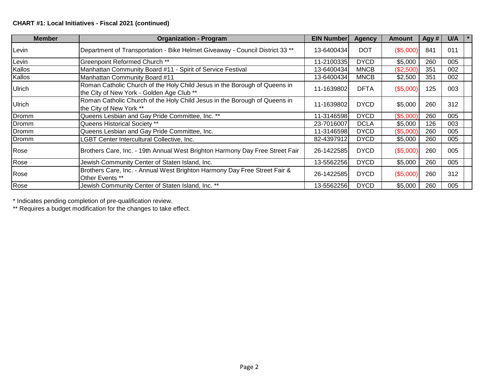## **CHART #1: Local Initiatives - Fiscal 2021 (continued)**

| <b>Member</b> | <b>Organization - Program</b>                                                                                          | <b>EIN Number</b> | <b>Agency</b> | <b>Amount</b> | Agy # | U/A |  |
|---------------|------------------------------------------------------------------------------------------------------------------------|-------------------|---------------|---------------|-------|-----|--|
| ∣Levin        | Department of Transportation - Bike Helmet Giveaway - Council District 33 **                                           | 13-6400434        | <b>DOT</b>    | (\$5,000)     | 841   | 011 |  |
| Levin         | Greenpoint Reformed Church **                                                                                          | 11-2100335        | <b>DYCD</b>   | \$5,000       | 260   | 005 |  |
| Kallos        | Manhattan Community Board #11 - Spirit of Service Festival                                                             | 13-6400434        | <b>MNCB</b>   | (\$2,500)     | 351   | 002 |  |
| Kallos        | Manhattan Community Board #11                                                                                          | 13-6400434        | <b>MNCB</b>   | \$2,500       | 351   | 002 |  |
| <b>Ulrich</b> | Roman Catholic Church of the Holy Child Jesus in the Borough of Queens in<br>the City of New York - Golden Age Club ** | 11-1639802        | <b>DFTA</b>   | (\$5,000)     | 125   | 003 |  |
| <b>Ulrich</b> | Roman Catholic Church of the Holy Child Jesus in the Borough of Queens in<br>the City of New York **                   | 11-1639802        | <b>DYCD</b>   | \$5,000       | 260   | 312 |  |
| Dromm         | Queens Lesbian and Gay Pride Committee, Inc. **                                                                        | 11-3146598        | <b>DYCD</b>   | (\$5,000)     | 260   | 005 |  |
| Dromm         | Queens Historical Society **                                                                                           | 23-7016007        | <b>DCLA</b>   | \$5,000       | 126   | 003 |  |
| Dromm         | Queens Lesbian and Gay Pride Committee, Inc.                                                                           | 11-3146598        | <b>DYCD</b>   | (\$5,000)     | 260   | 005 |  |
| Dromm         | LGBT Center Intercultural Collective, Inc.                                                                             | 82-4397912        | <b>DYCD</b>   | \$5,000       | 260   | 005 |  |
| Rose          | Brothers Care, Inc. - 19th Annual West Brighton Harmony Day Free Street Fair                                           | 26-1422585        | <b>DYCD</b>   | (\$5,000)     | 260   | 005 |  |
| Rose          | Jewish Community Center of Staten Island, Inc.                                                                         | 13-5562256        | <b>DYCD</b>   | \$5,000       | 260   | 005 |  |
| Rose          | Brothers Care, Inc. - Annual West Brighton Harmony Day Free Street Fair &<br>Other Events **                           | 26-1422585        | <b>DYCD</b>   | (\$5,000)     | 260   | 312 |  |
| Rose          | Jewish Community Center of Staten Island, Inc. **                                                                      | 13-5562256        | <b>DYCD</b>   | \$5,000       | 260   | 005 |  |

\* Indicates pending completion of pre-qualification review.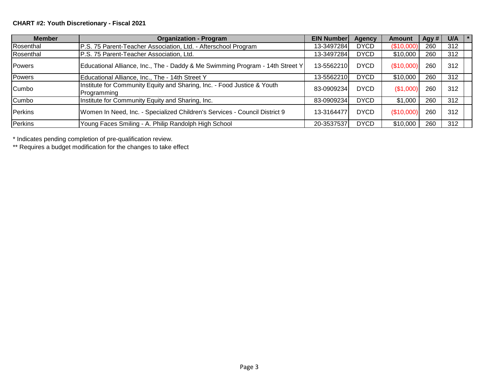| <b>Member</b>  | <b>Organization - Program</b>                                                          | <b>EIN Number</b> | <b>Agency</b> | Amount     | Agy # | U/A | $\mathbf{1}$ $\star$ |
|----------------|----------------------------------------------------------------------------------------|-------------------|---------------|------------|-------|-----|----------------------|
| Rosenthal      | P.S. 75 Parent-Teacher Association, Ltd. - Afterschool Program                         | 13-3497284        | <b>DYCD</b>   | (\$10,000  | 260   | 312 |                      |
| Rosenthal      | P.S. 75 Parent-Teacher Association, Ltd.                                               | 13-3497284        | <b>DYCD</b>   | \$10,000   | 260   | 312 |                      |
| Powers         | Educational Alliance, Inc., The - Daddy & Me Swimming Program - 14th Street Y          | 13-5562210        | <b>DYCD</b>   | (\$10,000) | 260   | 312 |                      |
| Powers         | Educational Alliance, Inc., The - 14th Street Y                                        | 13-5562210        | <b>DYCD</b>   | \$10,000   | 260   | 312 |                      |
| <b>Cumbo</b>   | Institute for Community Equity and Sharing, Inc. - Food Justice & Youth<br>Programming | 83-0909234        | <b>DYCD</b>   | (\$1,000)  | 260   | 312 |                      |
| Cumbo          | Institute for Community Equity and Sharing, Inc.                                       | 83-0909234        | <b>DYCD</b>   | \$1,000    | 260   | 312 |                      |
| Perkins        | Women In Need, Inc. - Specialized Children's Services - Council District 9             | 13-3164477        | <b>DYCD</b>   | (\$10,000) | 260   | 312 |                      |
| <b>Perkins</b> | Young Faces Smiling - A. Philip Randolph High School                                   | 20-3537537        | <b>DYCD</b>   | \$10,000   | 260   | 312 |                      |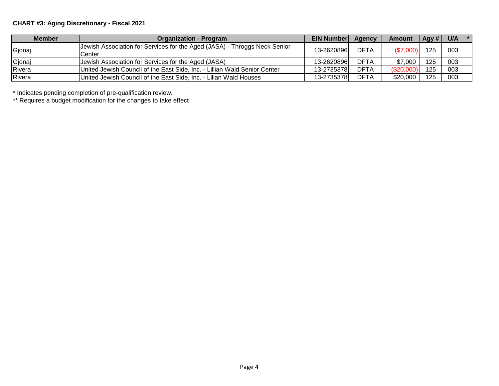# **CHART #3: Aging Discretionary - Fiscal 2021**

| <b>Member</b> | <b>Organization - Program</b>                                             | <b>EIN Numberl</b> | Agency      | <b>Amount</b> | Agy # | $U/A$  * |  |
|---------------|---------------------------------------------------------------------------|--------------------|-------------|---------------|-------|----------|--|
| Gjonaj        | Jewish Association for Services for the Aged (JASA) - Throggs Neck Senior | 13-2620896         | <b>DFTA</b> | (\$7,000)     | 125   | 003      |  |
|               | Center                                                                    |                    |             |               |       |          |  |
| Gjonaj        | Jewish Association for Services for the Aged (JASA)                       | 13-2620896         | <b>DFTA</b> | \$7,000       | 125   | 003      |  |
| Rivera        | United Jewish Council of the East Side, Inc. - Lillian Wald Senior Center | 13-2735378         | DFTA        | (\$20,000     | 125   | 003      |  |
| Rivera        | United Jewish Council of the East Side, Inc. - Lilian Wald Houses         | 13-2735378         | DFTA        | \$20,000      | 125   | 003      |  |

\* Indicates pending completion of pre-qualification review.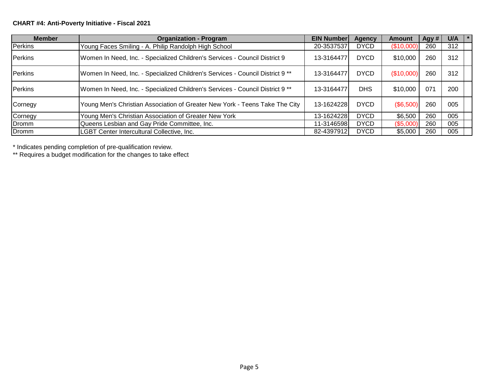| <b>Member</b> | <b>Organization - Program</b>                                                 | <b>EIN Number</b> | <b>Agency</b> | <b>Amount</b> | Agy # | U/A | $\mathbf{I}$ $\ast$ |
|---------------|-------------------------------------------------------------------------------|-------------------|---------------|---------------|-------|-----|---------------------|
| Perkins       | Young Faces Smiling - A. Philip Randolph High School                          | 20-3537537        | <b>DYCD</b>   | (\$10,000)    | 260   | 312 |                     |
| Perkins       | Women In Need, Inc. - Specialized Children's Services - Council District 9    | 13-3164477        | <b>DYCD</b>   | \$10,000      | 260   | 312 |                     |
| Perkins       | Women In Need, Inc. - Specialized Children's Services - Council District 9 ** | 13-3164477        | <b>DYCD</b>   | (\$10,000)    | 260   | 312 |                     |
| Perkins       | Women In Need, Inc. - Specialized Children's Services - Council District 9 ** | 13-3164477        | <b>DHS</b>    | \$10,000      | 071   | 200 |                     |
| Cornegy       | Young Men's Christian Association of Greater New York - Teens Take The City   | 13-1624228        | <b>DYCD</b>   | (\$6,500)     | 260   | 005 |                     |
| Cornegy       | Young Men's Christian Association of Greater New York                         | 13-1624228        | <b>DYCD</b>   | \$6,500       | 260   | 005 |                     |
| Dromm         | Queens Lesbian and Gay Pride Committee, Inc.                                  | 11-3146598        | <b>DYCD</b>   | (\$5,000)     | 260   | 005 |                     |
| Dromm         | LGBT Center Intercultural Collective, Inc.                                    | 82-4397912        | <b>DYCD</b>   | \$5,000       | 260   | 005 |                     |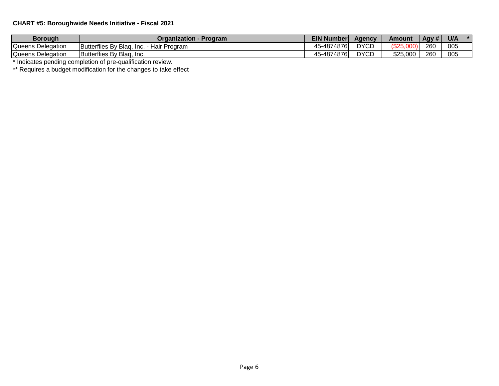## **CHART #5: Boroughwide Needs Initiative - Fiscal 2021**

| <b>Borough</b>    | Organization -<br>Program                           | <b>EIN Number</b> | Aqencv      | Amount   | Agy # | U/A |  |
|-------------------|-----------------------------------------------------|-------------------|-------------|----------|-------|-----|--|
| Queens Delegation | Butterflies By Blag,<br><b>Hair Program</b><br>Inc. | 45-4874876        | <b>DYCD</b> | ءصہ/     | 260   | 005 |  |
| Queens Delegation | Butterflies By Blag, Inc.                           | 45-4874876        | <b>DYCD</b> | \$25,000 | 260   | 005 |  |

\* Indicates pending completion of pre-qualification review.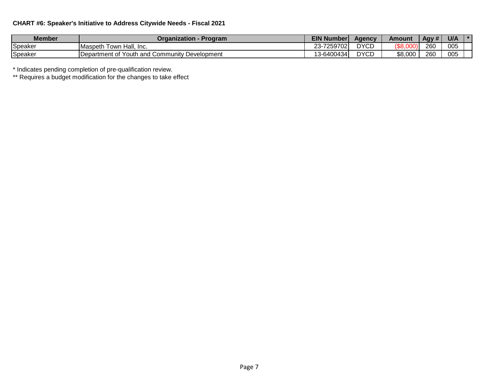## **CHART #6: Speaker's Initiative to Address Citywide Needs - Fiscal 2021**

| Member  | <b>Organization - Program</b>                    | <b>EIN Number</b>      | Agency      | Amount  | Agy # | U/A |  |
|---------|--------------------------------------------------|------------------------|-------------|---------|-------|-----|--|
| Speaker | Hall.<br><b>Maspeth</b><br>Town<br>-Inc.         | $-7259702$<br>ົ<br>Z3- | <b>DYCD</b> |         | 260   | 005 |  |
| Speaker | Department of Youth and Community<br>Development | 3-6400434              | <b>DYCD</b> | \$8,000 | 260   | 005 |  |

\* Indicates pending completion of pre-qualification review.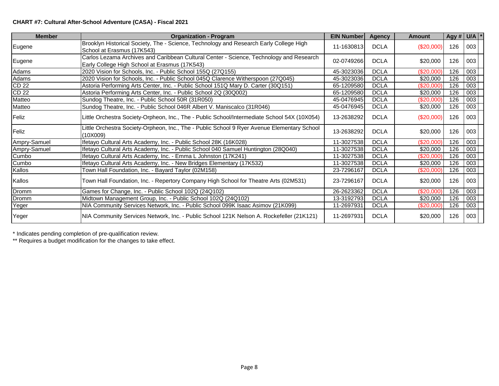### **CHART #7: Cultural After-School Adventure (CASA) - Fiscal 2021**

| <b>Member</b>    | <b>Organization - Program</b>                                                                                                            | <b>EIN Number</b> | <b>Agency</b> | Amount           | Agy # $U/A$ * |     |  |
|------------------|------------------------------------------------------------------------------------------------------------------------------------------|-------------------|---------------|------------------|---------------|-----|--|
| Eugene           | Brooklyn Historical Society, The - Science, Technology and Research Early College High<br>School at Erasmus (17K543)                     | 11-1630813        | <b>DCLA</b>   | $(\$20,000)$     | 126           | 003 |  |
| Eugene           | Carlos Lezama Archives and Caribbean Cultural Center - Science, Technology and Research<br>Early College High School at Erasmus (17K543) | 02-0749266        | <b>DCLA</b>   | \$20,000         | 126           | 003 |  |
| Adams            | 2020 Vision for Schools, Inc. - Public School 155Q (27Q155)                                                                              | 45-3023036        | <b>DCLA</b>   | (\$20,000)       | 126           | 003 |  |
| Adams            | 2020 Vision for Schools, Inc. - Public School 045Q Clarence Witherspoon (27Q045)                                                         | 45-3023036        | <b>DCLA</b>   | \$20,000         | 126           | 003 |  |
| <b>CD 22</b>     | Astoria Performing Arts Center, Inc. - Public School 151Q Mary D. Carter (30Q151)                                                        | 65-1209580        | <b>DCLA</b>   | (\$20,000)       | 126           | 003 |  |
| CD <sub>22</sub> | Astoria Performing Arts Center, Inc. - Public School 2Q (30Q002)                                                                         | 65-1209580        | <b>DCLA</b>   | \$20,000         | 126           | 003 |  |
| Matteo           | Sundog Theatre, Inc. - Public School 50R (31R050)                                                                                        | 45-0476945        | <b>DCLA</b>   | (\$20,000)       | 126           | 003 |  |
| Matteo           | Sundog Theatre, Inc. - Public School 046R Albert V. Maniscalco (31R046)                                                                  | 45-0476945        | <b>DCLA</b>   | \$20,000         | 126           | 003 |  |
| Feliz            | Little Orchestra Society-Orpheon, Inc., The - Public School/Intermediate School 54X (10X054)                                             | 13-2638292        | <b>DCLA</b>   | (\$20,000)       | 126           | 003 |  |
| Feliz            | Little Orchestra Society-Orpheon, Inc., The - Public School 9 Ryer Avenue Elementary School<br>(10X009)                                  | 13-2638292        | <b>DCLA</b>   | \$20,000         | 126           | 003 |  |
| Ampry-Samuel     | Ifetayo Cultural Arts Academy, Inc. - Public School 28K (16K028)                                                                         | 11-3027538        | <b>DCLA</b>   | (\$20,000)       | 126           | 003 |  |
| Ampry-Samuel     | Ifetayo Cultural Arts Academy, Inc. - Public School 040 Samuel Huntington (28Q040)                                                       | 11-3027538        | <b>DCLA</b>   | $\sqrt{$20,000}$ | 126           | 003 |  |
| Cumbo            | Ifetayo Cultural Arts Academy, Inc. - Emma L Johnston (17K241)                                                                           | 11-3027538        | <b>DCLA</b>   | (\$20,000)       | 126           | 003 |  |
| Cumbo            | Ifetayo Cultural Arts Academy, Inc. - New Bridges Elementary (17K532)                                                                    | 11-3027538        | <b>DCLA</b>   | \$20,000         | 126           | 003 |  |
| Kallos           | Town Hall Foundation, Inc. - Bayard Taylor (02M158)                                                                                      | 23-7296167        | <b>DCLA</b>   | $(\$20,000)$     | 126           | 003 |  |
| Kallos           | Town Hall Foundation, Inc. - Repertory Company High School for Theatre Arts (02M531)                                                     | 23-7296167        | <b>DCLA</b>   | \$20,000         | 126           | 003 |  |
| Dromm            | Games for Change, Inc. - Public School 102Q (24Q102)                                                                                     | 26-2623362        | <b>DCLA</b>   | (\$20,000)       | 126           | 003 |  |
| Dromm            | Midtown Management Group, Inc. - Public School 102Q (24Q102)                                                                             | 13-3192793        | <b>DCLA</b>   | \$20,000         | 126           | 003 |  |
| Yeger            | NIA Community Services Network, Inc. - Public School 099K Isaac Asimov (21K099)                                                          | 11-2697931        | <b>DCLA</b>   | (\$20,000)       | 126           | 003 |  |
| Yeger            | NIA Community Services Network, Inc. - Public School 121K Nelson A. Rockefeller (21K121)                                                 | 11-2697931        | <b>DCLA</b>   | \$20,000         | 126           | 003 |  |

\* Indicates pending completion of pre-qualification review.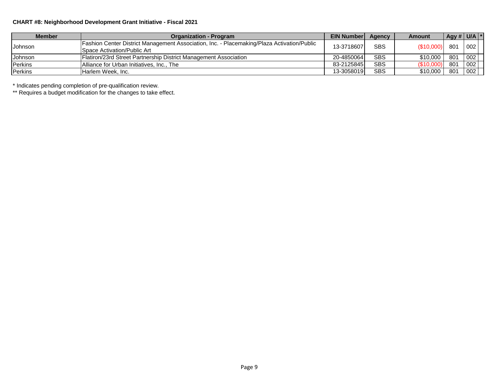### **CHART #8: Neighborhood Development Grant Initiative - Fiscal 2021**

| <b>Member</b>  | <b>Organization - Program</b>                                                                                                           | <b>EIN Number</b> | Agency     | Amount    | Agy # $U/A$ * |            |  |
|----------------|-----------------------------------------------------------------------------------------------------------------------------------------|-------------------|------------|-----------|---------------|------------|--|
| Johnson        | <b>Fashion Center District Management Association, Inc. - Placemaking/Plaza Activation/Public</b><br><b>Space Activation/Public Art</b> | 13-3718607        | <b>SBS</b> | (S10,000) | 801           | 002        |  |
| Johnson        | Flatiron/23rd Street Partnership District Management Association                                                                        | 20-48500641       | <b>SBS</b> | \$10,000  | 801           | $\mid$ 002 |  |
| Perkins        | Alliance for Urban Initiatives, Inc., The                                                                                               | 83-2125845        | <b>SBS</b> | \$10,000  | 801           | 002        |  |
| <b>Perkins</b> | Harlem Week, Inc.                                                                                                                       | 13-3058019        | <b>SBS</b> | \$10.000  | 801           | 002        |  |

\* Indicates pending completion of pre-qualification review.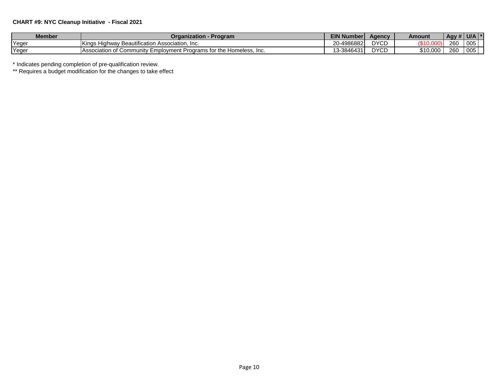### **CHART #9: NYC Cleanup Initiative - Fiscal 2021**

| <b>Member</b> | <b><i><u>Jraanization - P</u></i></b><br>Program                                     | EIN N<br>Number' | Agency               | Amount   | $\overline{AB}$ Agy # |     |  |
|---------------|--------------------------------------------------------------------------------------|------------------|----------------------|----------|-----------------------|-----|--|
| Yeger         | <sup><i>'</i>Beautification Association.</sup><br>Kinas Hiai<br>. Inc.<br>…udhwav P∈ | 20-4986882       | <b>DYCD</b>          |          | 260                   | 005 |  |
| Yeger         | TAssociation of Community Employment Programs for the l<br>Homeless<br>-Inc.         | 13-3846431       | <b>DVCD</b><br>ט ו ש | \$10.000 | 260                   | 005 |  |

\* Indicates pending completion of pre-qualification review.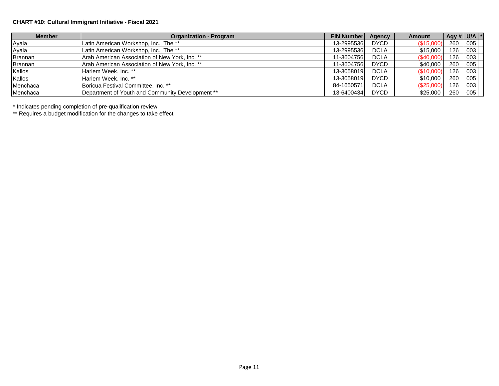# **CHART #10: Cultural Immigrant Initiative - Fiscal 2021**

| <b>Member</b>  | <b>Organization - Program</b>                    | <b>EIN Number</b> | Agency      | <b>Amount</b> | Agy # $U/A$ * |     |  |
|----------------|--------------------------------------------------|-------------------|-------------|---------------|---------------|-----|--|
| Ayala          | Latin American Workshop, Inc., The **            | 13-2995536        | <b>DYCD</b> | (\$15,000     | 260 005       |     |  |
| Ayala          | Latin American Workshop, Inc., The **            | 13-2995536        | <b>DCLA</b> | \$15,000      | 126           | 003 |  |
| <b>Brannan</b> | Arab American Association of New York, Inc. **   | 11-3604756        | <b>DCLA</b> | (\$40,000     | 126           | 003 |  |
| <b>Brannan</b> | Arab American Association of New York, Inc. **   | 11-3604756        | <b>DYCD</b> | \$40,000      | 260           | 005 |  |
| Kallos         | Harlem Week, Inc. **                             | 13-3058019        | <b>DCLA</b> | (\$10,000     | 126           | 003 |  |
| Kallos         | Harlem Week, Inc. **                             | 13-3058019        | <b>DYCD</b> | \$10,000      | 260           | 005 |  |
| Menchaca       | Boricua Festival Committee, Inc. **              | 84-1650571        | <b>DCLA</b> | \$25,000      | 126           | 003 |  |
| Menchaca       | Department of Youth and Community Development ** | 13-6400434        | <b>DYCD</b> | \$25,000      | 260           | 005 |  |

\* Indicates pending completion of pre-qualification review.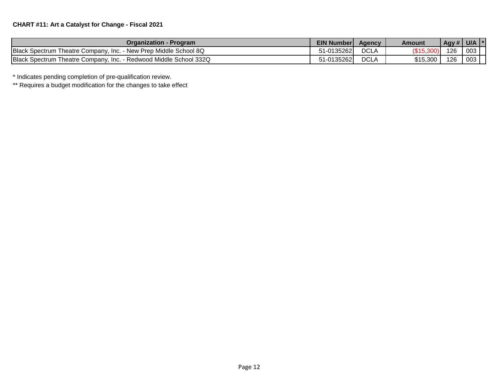| Organization - Program                                            | <b>EIN Number</b> | Agency      | Amount   | $\left $ Agy # $\right $ U/A $\left  \right $ * |     |  |
|-------------------------------------------------------------------|-------------------|-------------|----------|-------------------------------------------------|-----|--|
| Black Spectrum Theatre Company, Inc. - New Prep Middle School 8Q  | 51-01352621       | <b>DCLA</b> |          | 126                                             | 003 |  |
| Black Spectrum Theatre Company, Inc. - Redwood Middle School 332Q | 51-0135262        | <b>DCLA</b> | \$15,300 | 126                                             | 003 |  |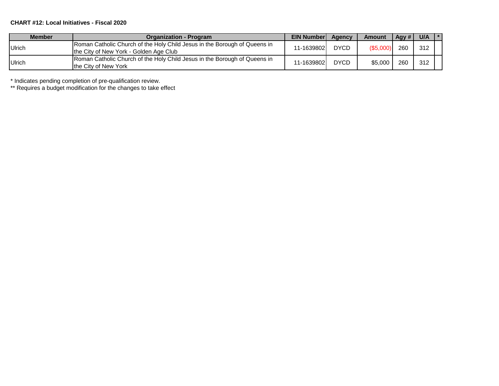#### **CHART #12: Local Initiatives - Fiscal 2020**

| <b>Member</b> | <b>Organization - Program</b>                                                                                       | <b>EIN NumberL</b> | Agency      | <b>Amount</b> | Agy $#$ | U/A |  |
|---------------|---------------------------------------------------------------------------------------------------------------------|--------------------|-------------|---------------|---------|-----|--|
| <b>Ulrich</b> | Roman Catholic Church of the Holy Child Jesus in the Borough of Queens in<br>the City of New York - Golden Age Club | 11-1639802         | <b>DYCD</b> | (S5,000)      | 260     | 312 |  |
| <b>Ulrich</b> | Roman Catholic Church of the Holy Child Jesus in the Borough of Queens in<br>Ithe City of New York                  | 11-1639802         | <b>DYCD</b> | \$5.000       | 260     | 312 |  |

\* Indicates pending completion of pre-qualification review.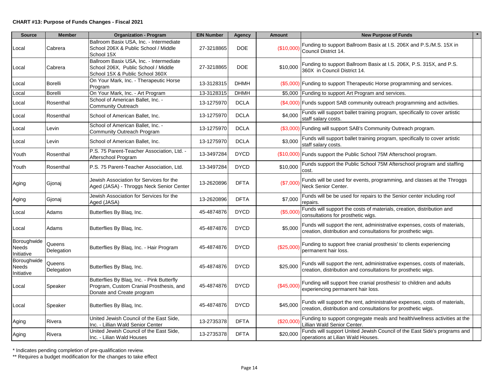| <b>Source</b>                             | <b>Member</b>        | <b>Organization - Program</b>                                                                                      | <b>EIN Number</b> | <b>Agency</b> | <b>Amount</b> | <b>New Purpose of Funds</b>                                                                                                                |
|-------------------------------------------|----------------------|--------------------------------------------------------------------------------------------------------------------|-------------------|---------------|---------------|--------------------------------------------------------------------------------------------------------------------------------------------|
| Local                                     | Cabrera              | Ballroom Basix USA, Inc. - Intermediate<br>School 206X & Public School / Middle<br>School 15X                      | 27-3218865        | <b>DOE</b>    | (\$10,000     | Funding to support Ballroom Basix at I.S. 206X and P.S./M.S. 15X in<br>Council District 14.                                                |
| Local                                     | Cabrera              | Ballroom Basix USA, Inc. - Intermediate<br>School 206X, Public School / Middle<br>School 15X & Public School 360X  | 27-3218865        | <b>DOE</b>    | \$10,000      | Funding to support Ballroom Basix at I.S. 206X, P.S. 315X, and P.S.<br>360X in Council District 14.                                        |
| Local                                     | <b>Borelli</b>       | On Your Mark, Inc. - Therapeutic Horse<br>Program                                                                  | 13-3128315        | <b>DHMH</b>   |               | (\$5,000) Funding to support Therapeutic Horse programming and services.                                                                   |
| _ocal                                     | <b>Borelli</b>       | On Your Mark, Inc. - Art Program                                                                                   | 13-3128315        | <b>DHMH</b>   |               | \$5,000 Funding to support Art Program and services.                                                                                       |
| Local                                     | Rosenthal            | School of American Ballet, Inc. -<br><b>Community Outreach</b>                                                     | 13-1275970        | <b>DCLA</b>   |               | (\$4,000) Funds support SAB community outreach programming and activities.                                                                 |
| Local                                     | Rosenthal            | School of American Ballet, Inc.                                                                                    | 13-1275970        | <b>DCLA</b>   | \$4,000       | Funds will support ballet training program, specifically to cover artistic<br>staff salary costs.                                          |
| Local                                     | Levin                | School of American Ballet, Inc. -<br>Community Outreach Program                                                    | 13-1275970        | <b>DCLA</b>   |               | (\$3,000) Funding will support SAB's Community Outreach program.                                                                           |
| Local                                     | Levin                | School of American Ballet, Inc.                                                                                    | 13-1275970        | <b>DCLA</b>   | \$3,000       | Funds will support ballet training program, specifically to cover artistic<br>staff salary costs.                                          |
| Youth                                     | Rosenthal            | P.S. 75 Parent-Teacher Association, Ltd. -<br>Afterschool Program                                                  | 13-3497284        | <b>DYCD</b>   |               | (\$10,000) Funds support the Public School 75M Afterschool program.                                                                        |
| Youth                                     | Rosenthal            | P.S. 75 Parent-Teacher Association, Ltd.                                                                           | 13-3497284        | <b>DYCD</b>   | \$10,000      | Funds support the Public School 75M Afterschool program and staffing<br>cost.                                                              |
| Aging                                     | Gjonaj               | Jewish Association for Services for the<br>Aged (JASA) - Throggs Neck Senior Center                                | 13-2620896        | <b>DFTA</b>   | (\$7,000      | Funds will be used for events, programming, and classes at the Throggs<br>Neck Senior Center.                                              |
| Aging                                     | Gjonaj               | Jewish Association for Services for the<br>Aged (JASA)                                                             | 13-2620896        | <b>DFTA</b>   | \$7,000       | Funds will be be used for repairs to the Senior center including roof<br>repairs.                                                          |
| Local                                     | Adams                | Butterflies By Blaq, Inc.                                                                                          | 45-4874876        | <b>DYCD</b>   | (\$5,000      | Funds will support the costs of materials, creation, distribution and<br>consultations for prosthetic wigs.                                |
| Local                                     | Adams                | Butterflies By Blag, Inc.                                                                                          | 45-4874876        | <b>DYCD</b>   | \$5,000       | Funds will support the rent, administrative expenses, costs of materials,<br>creation, distribution and consultations for prosthetic wigs. |
| Boroughwide<br>Needs<br>Initiative        | Queens<br>Delegation | Butterflies By Blaq, Inc. - Hair Program                                                                           | 45-4874876        | <b>DYCD</b>   | (\$25,000)    | Funding to support free cranial prosthesis' to clients experiencing<br>permanent hair loss.                                                |
| Boroughwide<br><b>Needs</b><br>Initiative | Queens<br>Delegation | Butterflies By Blaq, Inc.                                                                                          | 45-4874876        | <b>DYCD</b>   | \$25,000      | Funds will support the rent, administrative expenses, costs of materials,<br>creation, distribution and consultations for prosthetic wigs. |
| Local                                     | Speaker              | Butterflies By Blaq, Inc. - Pink Butterfly<br>Program, Custom Cranial Prosthesis, and<br>Donate and Create program | 45-4874876        | <b>DYCD</b>   | (\$45,000     | Funding will support free cranial prosthesis' to children and adults<br>experiencing permanent hair loss.                                  |
| Local                                     | Speaker              | Butterflies By Blag, Inc.                                                                                          | 45-4874876        | <b>DYCD</b>   | \$45,000      | Funds will support the rent, administrative expenses, costs of materials,<br>creation, distribution and consultations for prosthetic wigs. |
| Aging                                     | Rivera               | United Jewish Council of the East Side,<br>Inc. - Lillian Wald Senior Center                                       | 13-2735378        | <b>DFTA</b>   | (\$20,000     | Funding to support congregate meals and health/wellness activities at the<br>Lillian Wald Senior Center.                                   |
| Aging                                     | Rivera               | United Jewish Council of the East Side,<br>Inc. - Lilian Wald Houses                                               | 13-2735378        | <b>DFTA</b>   | \$20,000      | Funds will support United Jewish Council of the East Side's programs and<br>operations at Lilian Wald Houses.                              |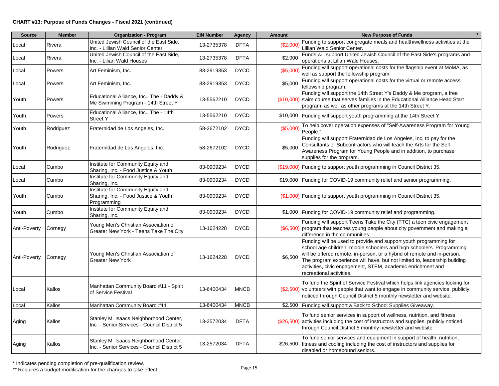| <b>Source</b>       | <b>Member</b> | <b>Organization - Program</b>                                                             | <b>EIN Number</b> | <b>Agency</b> | Amount   | <b>New Purpose of Funds</b>                                                                                                                                                                                                                                                                                                                                                                   |
|---------------------|---------------|-------------------------------------------------------------------------------------------|-------------------|---------------|----------|-----------------------------------------------------------------------------------------------------------------------------------------------------------------------------------------------------------------------------------------------------------------------------------------------------------------------------------------------------------------------------------------------|
| Local               | Rivera        | United Jewish Council of the East Side.<br>Inc. - Lillian Wald Senior Center              | 13-2735378        | <b>DFTA</b>   | (\$2,000 | Funding to support congregate meals and health/wellness activities at the<br>Lillian Wald Senior Center.                                                                                                                                                                                                                                                                                      |
| Local               | Rivera        | United Jewish Council of the East Side,<br>Inc. - Lilian Wald Houses                      | 13-2735378        | <b>DFTA</b>   | \$2,000  | Funds will support United Jewish Council of the East Side's programs and<br>operations at Lilian Wald Houses.                                                                                                                                                                                                                                                                                 |
| Local               | Powers        | Art Feminism, Inc.                                                                        | 83-2919353        | <b>DYCD</b>   | (\$5,000 | Funding will support operational costs for the flagship event at MoMA, as<br>well as support the fellowship program                                                                                                                                                                                                                                                                           |
| Local               | Powers        | Art Feminism, Inc.                                                                        | 83-2919353        | <b>DYCD</b>   | \$5,000  | Funding will support operational costs for the virtual or remote access<br>fellowship program.                                                                                                                                                                                                                                                                                                |
| Youth               | Powers        | Educational Alliance, Inc., The - Daddy &<br>Me Swimming Program - 14th Street Y          | 13-5562210        | <b>DYCD</b>   |          | Funding will support the 14th Street Y's Daddy & Me program, a free<br>(\$10,000) swim course that serves families in the Educational Alliance Head Start<br>program, as well as other programs at the 14th Street Y.                                                                                                                                                                         |
| Youth               | Powers        | Educational Alliance, Inc., The - 14th<br><b>Street Y</b>                                 | 13-5562210        | <b>DYCD</b>   |          | \$10,000 Funding will support youth programming at the 14th Street Y.                                                                                                                                                                                                                                                                                                                         |
| Youth               | Rodriguez     | Fraternidad de Los Angeles, Inc.                                                          | 58-2672102        | <b>DYCD</b>   | (\$5,000 | To help cover operation expenses of "Self-Awareness Program for Young<br>People."                                                                                                                                                                                                                                                                                                             |
| Youth               | Rodriguez     | Fraternidad de Los Angeles, Inc.                                                          | 58-2672102        | <b>DYCD</b>   | \$5,000  | Funding will support Fraternidad de Los Angeles, Inc, to pay for the<br>Consultants or Subcontractors who will teach the Arts for the Self-<br>Awareness Program for Young People and in addition, to purchase<br>supplies for the program.                                                                                                                                                   |
| Local               | Cumbo         | Institute for Community Equity and<br>Sharing, Inc. - Food Justice & Youth                | 83-0909234        | <b>DYCD</b>   |          | (\$19,000) Funding to support youth programming in Council District 35.                                                                                                                                                                                                                                                                                                                       |
| Local               | Cumbo         | Institute for Community Equity and<br>Sharing, Inc.                                       | 83-0909234        | <b>DYCD</b>   |          | \$19,000 Funding for COVID-19 community relief and senior programming.                                                                                                                                                                                                                                                                                                                        |
| Youth               | Cumbo         | Institute for Community Equity and<br>Sharing, Inc. - Food Justice & Youth<br>Programming | 83-0909234        | <b>DYCD</b>   |          | (\$1,000) Funding to support youth programming in Council District 35.                                                                                                                                                                                                                                                                                                                        |
| Youth               | Cumbo         | Institute for Community Equity and<br>Sharing, Inc.                                       | 83-0909234        | <b>DYCD</b>   |          | \$1,000 Funding for COVID-19 community relief and programming.                                                                                                                                                                                                                                                                                                                                |
| Anti-Poverty        | Cornegy       | Young Men's Christian Association of<br>Greater New York - Teens Take The City            | 13-1624228        | <b>DYCD</b>   |          | Funding will support Teens Take the City (TTC) a teen civic engagement<br>$(\$6,500)$ program that teaches young people about city government and making a<br>difference in the communities.                                                                                                                                                                                                  |
| <b>Anti-Poverty</b> | Cornegy       | Young Men's Christian Association of<br><b>Greater New York</b>                           | 13-1624228        | <b>DYCD</b>   | \$6,500  | Funding will be used to provide and support youth programming for<br>school age children, middle schoolers and high schoolers. Programming<br>will be offered remote, in-person, or a hybrid of remote and in-person.<br>The program experience will have, but not limited to, leadership building<br>activities, civic engagement, STEM, academic enrichment and<br>recreational activities. |
| Local               | Kallos        | Manhattan Community Board #11 - Spirit<br>of Service Festival                             | 13-6400434        | <b>MNCB</b>   |          | To fund the Spirit of Service Festival which helps link agencies looking for<br>$(\$2,500)$ volunteers with people that want to engage in community service, publicly<br>noticed through Council District 5 monthly newsletter and website.                                                                                                                                                   |
| Local               | Kallos        | Manhattan Community Board #11                                                             | 13-6400434        | <b>MNCB</b>   |          | \$2,500 Funding will support a Back to School Supplies Giveaway.                                                                                                                                                                                                                                                                                                                              |
| Aging               | Kallos        | Stanley M. Isaacs Neighborhood Center,<br>Inc. - Senior Services - Council District 5     | 13-2572034        | <b>DFTA</b>   |          | To fund senior services in support of wellness, nutrition, and fitness<br>$(\$26,500)$ activities including the cost of instructors and supplies, publicly noticed<br>through Council District 5 monthly newsletter and website.                                                                                                                                                              |
| Aging               | Kallos        | Stanley M. Isaacs Neighborhood Center,<br>Inc. - Senior Services - Council District 5     | 13-2572034        | <b>DFTA</b>   |          | To fund senior services and equipment in support of health, nutrition,<br>\$26,500 fitness and cooling including the cost of instructors and supplies for<br>disabled or homebound seniors.                                                                                                                                                                                                   |

\* Indicates pending completion of pre-qualification review. \*\* Requires a budget modification for the changes to take effect Page 15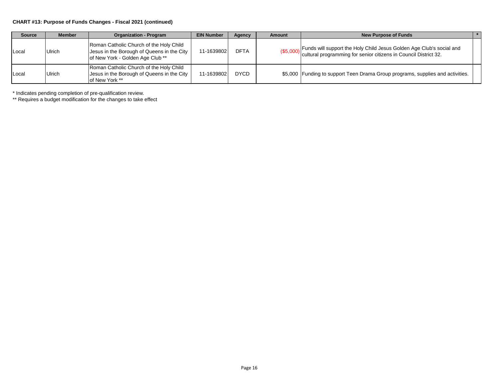#### **CHART #13: Purpose of Funds Changes - Fiscal 2021 (continued)**

| <b>Source</b> | <b>Member</b> | <b>Organization - Program</b>                                                                                             | <b>EIN Number</b> | Agency      | Amount | <b>New Purpose of Funds</b>                                                                                                                        |
|---------------|---------------|---------------------------------------------------------------------------------------------------------------------------|-------------------|-------------|--------|----------------------------------------------------------------------------------------------------------------------------------------------------|
| Local         | Ulrich        | Roman Catholic Church of the Holy Child<br>Jesus in the Borough of Queens in the City<br>of New York - Golden Age Club ** | 11-1639802        | DFTA        |        | (\$5,000) Funds will support the Holy Child Jesus Golden Age Club's social and<br>cultural programming for senior citizens in Council District 32. |
| Local         | Ulrich        | Roman Catholic Church of the Holy Child<br>Jesus in the Borough of Queens in the City<br>of New York **                   | 11-1639802        | <b>DYCD</b> |        | \$5,000 Funding to support Teen Drama Group programs, supplies and activities.                                                                     |

\* Indicates pending completion of pre-qualification review.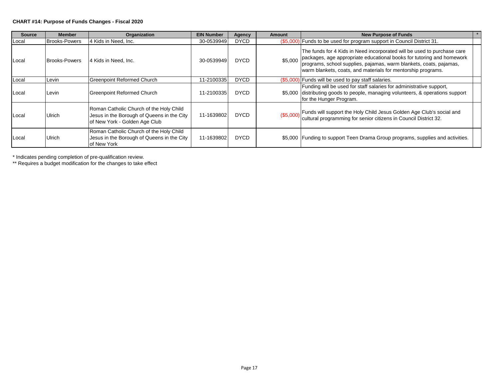#### **CHART #14: Purpose of Funds Changes - Fiscal 2020**

| <b>Source</b> | <b>Member</b>        | Organization                                                                                                           | <b>EIN Number</b> | Agency      | <b>Amount</b> | <b>New Purpose of Funds</b>                                                                                                                                                                                                                                                                    |  |
|---------------|----------------------|------------------------------------------------------------------------------------------------------------------------|-------------------|-------------|---------------|------------------------------------------------------------------------------------------------------------------------------------------------------------------------------------------------------------------------------------------------------------------------------------------------|--|
| Local         | <b>Brooks-Powers</b> | 4 Kids in Need. Inc.                                                                                                   | 30-0539949        | <b>DYCD</b> |               | (\$5,000) Funds to be used for program support in Council District 31.                                                                                                                                                                                                                         |  |
| Local         | <b>Brooks-Powers</b> | 4 Kids in Need. Inc.                                                                                                   | 30-0539949        | <b>DYCD</b> |               | The funds for 4 Kids in Need incorporated will be used to purchase care<br>\$5,000 packages, age appropriate educational books for tutoring and homework<br>programs, school supplies, pajamas, warm blankets, coats, pajamas,<br>warm blankets, coats, and materials for mentorship programs. |  |
| Local         | Levin                | <b>Greenpoint Reformed Church</b>                                                                                      | 11-2100335        | <b>DYCD</b> |               | (\$5,000) Funds will be used to pay staff salaries.                                                                                                                                                                                                                                            |  |
| Local         | Levin                | Greenpoint Reformed Church                                                                                             | 11-2100335        | <b>DYCD</b> |               | Funding will be used for staff salaries for administrative support,<br>\$5,000 distributing goods to people, managing volunteers, & operations support<br>for the Hunger Program.                                                                                                              |  |
| Local         | Ulrich               | Roman Catholic Church of the Holy Child<br>Jesus in the Borough of Queens in the City<br>of New York - Golden Age Club | 11-1639802        | <b>DYCD</b> |               | (\$5,000) Funds will support the Holy Child Jesus Golden Age Club's social and<br>cultural programming for senior citizens in Council District 32.                                                                                                                                             |  |
| Local         | Ulrich               | Roman Catholic Church of the Holy Child<br>Jesus in the Borough of Queens in the City<br>of New York                   | 11-1639802        | <b>DYCD</b> |               | \$5,000 Funding to support Teen Drama Group programs, supplies and activities.                                                                                                                                                                                                                 |  |

\* Indicates pending completion of pre-qualification review.